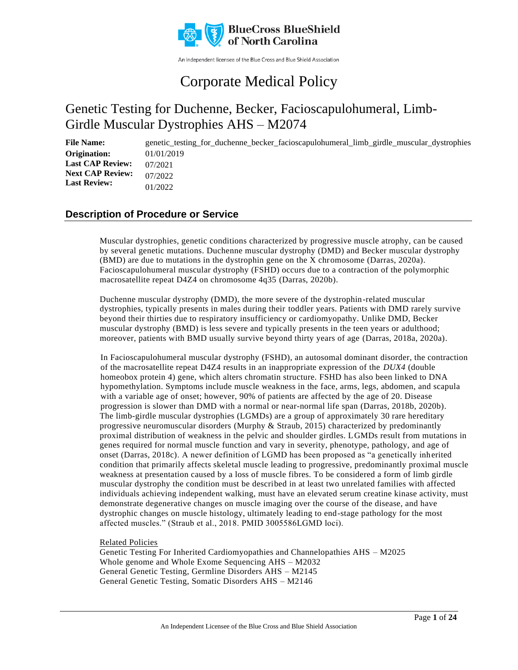

An independent licensee of the Blue Cross and Blue Shield Association

# Corporate Medical Policy

# Genetic Testing for Duchenne, Becker, Facioscapulohumeral, Limb-Girdle Muscular Dystrophies AHS – M2074

**File Name:** genetic testing for duchenne becker facioscapulohumeral limb girdle muscular dystrophies 01/01/2019 07/2021 07/2022 01/2022 **Origination: Last CAP Review: Next CAP Review: Last Review:**

### **Description of Procedure or Service**

Muscular dystrophies, genetic conditions characterized by progressive muscle atrophy, can be caused by several genetic mutations. Duchenne muscular dystrophy (DMD) and Becker muscular dystrophy (BMD) are due to mutations in the dystrophin gene on the X chromosome (Darras, 2020a). Facioscapulohumeral muscular dystrophy (FSHD) occurs due to a contraction of the polymorphic macrosatellite repeat D4Z4 on chromosome 4q35 (Darras, 2020b).

Duchenne muscular dystrophy (DMD), the more severe of the dystrophin-related muscular dystrophies, typically presents in males during their toddler years. Patients with DMD rarely survive beyond their thirties due to respiratory insufficiency or cardiomyopathy. Unlike DMD, Becker muscular dystrophy (BMD) is less severe and typically presents in the teen years or adulthood; moreover, patients with BMD usually survive beyond thirty years of age (Darras, 2018a, 2020a).

In Facioscapulohumeral muscular dystrophy (FSHD), an autosomal dominant disorder, the contraction of the macrosatellite repeat D4Z4 results in an inappropriate expression of the *DUX4* (double homeobox protein 4) gene, which alters chromatin structure. FSHD has also been linked to DNA hypomethylation. Symptoms include muscle weakness in the face, arms, legs, abdomen, and scapula with a variable age of onset; however, 90% of patients are affected by the age of 20. Disease progression is slower than DMD with a normal or near-normal life span (Darras, 2018b, 2020b). The limb-girdle muscular dystrophies (LGMDs) are a group of approximately 30 rare hereditary progressive neuromuscular disorders (Murphy & Straub, 2015) characterized by predominantly proximal distribution of weakness in the pelvic and shoulder girdles. LGMDs result from mutations in genes required for normal muscle function and vary in severity, phenotype, pathology, and age of onset (Darras, 2018c). A newer definition of LGMD has been proposed as "a genetically inherited condition that primarily affects skeletal muscle leading to progressive, predominantly proximal muscle weakness at presentation caused by a loss of muscle fibres. To be considered a form of limb girdle muscular dystrophy the condition must be described in at least two unrelated families with affected individuals achieving independent walking, must have an elevated serum creatine kinase activity, must demonstrate degenerative changes on muscle imaging over the course of the disease, and have dystrophic changes on muscle histology, ultimately leading to end-stage pathology for the most affected muscles." (Straub et al., 2018. PMID 3005586LGMD loci).

#### Related Policies

Genetic Testing For Inherited Cardiomyopathies and Channelopathies AHS – M2025 Whole genome and Whole Exome Sequencing AHS – M2032 General Genetic Testing, Germline Disorders AHS – M2145 General Genetic Testing, Somatic Disorders AHS – M2146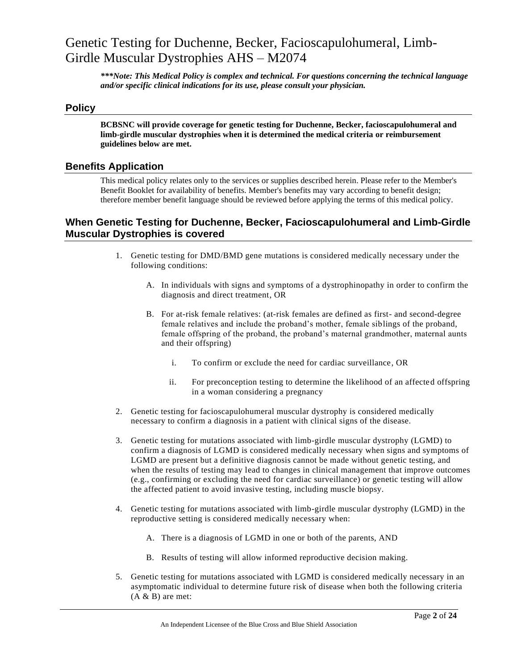*\*\*\*Note: This Medical Policy is complex and technical. For questions concerning the technical language and/or specific clinical indications for its use, please consult your physician.*

### **Policy**

**BCBSNC will provide coverage for genetic testing for Duchenne, Becker, facioscapulohumeral and limb-girdle muscular dystrophies when it is determined the medical criteria or reimbursement guidelines below are met.**

### **Benefits Application**

This medical policy relates only to the services or supplies described herein. Please refer to the Member's Benefit Booklet for availability of benefits. Member's benefits may vary according to benefit design; therefore member benefit language should be reviewed before applying the terms of this medical policy.

### **When Genetic Testing for Duchenne, Becker, Facioscapulohumeral and Limb-Girdle Muscular Dystrophies is covered**

- 1. Genetic testing for DMD/BMD gene mutations is considered medically necessary under the following conditions:
	- A. In individuals with signs and symptoms of a dystrophinopathy in order to confirm the diagnosis and direct treatment, OR
	- B. For at-risk female relatives: (at-risk females are defined as first- and second-degree female relatives and include the proband's mother, female siblings of the proband, female offspring of the proband, the proband's maternal grandmother, maternal aunts and their offspring)
		- i. To confirm or exclude the need for cardiac surveillance, OR
		- ii. For preconception testing to determine the likelihood of an affected offspring in a woman considering a pregnancy
- 2. Genetic testing for facioscapulohumeral muscular dystrophy is considered medically necessary to confirm a diagnosis in a patient with clinical signs of the disease.
- 3. Genetic testing for mutations associated with limb-girdle muscular dystrophy (LGMD) to confirm a diagnosis of LGMD is considered medically necessary when signs and symptoms of LGMD are present but a definitive diagnosis cannot be made without genetic testing, and when the results of testing may lead to changes in clinical management that improve outcomes (e.g., confirming or excluding the need for cardiac surveillance) or genetic testing will allow the affected patient to avoid invasive testing, including muscle biopsy.
- 4. Genetic testing for mutations associated with limb-girdle muscular dystrophy (LGMD) in the reproductive setting is considered medically necessary when:
	- A. There is a diagnosis of LGMD in one or both of the parents, AND
	- B. Results of testing will allow informed reproductive decision making.
- 5. Genetic testing for mutations associated with LGMD is considered medically necessary in an asymptomatic individual to determine future risk of disease when both the following criteria  $(A & B)$  are met: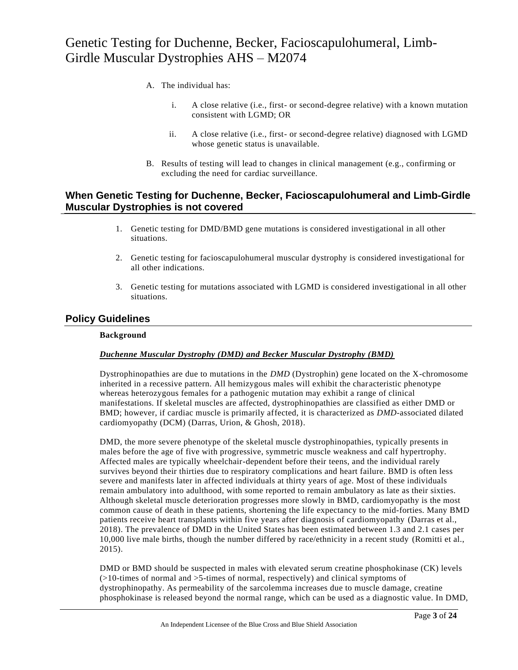- A. The individual has:
	- i. A close relative (i.e., first- or second-degree relative) with a known mutation consistent with LGMD; OR
	- ii. A close relative (i.e., first- or second-degree relative) diagnosed with LGMD whose genetic status is unavailable.
- B. Results of testing will lead to changes in clinical management (e.g., confirming or excluding the need for cardiac surveillance.

### **When Genetic Testing for Duchenne, Becker, Facioscapulohumeral and Limb-Girdle Muscular Dystrophies is not covered**

- 1. Genetic testing for DMD/BMD gene mutations is considered investigational in all other situations.
- 2. Genetic testing for facioscapulohumeral muscular dystrophy is considered investigational for all other indications.
- 3. Genetic testing for mutations associated with LGMD is considered investigational in all other situations.

### **Policy Guidelines**

#### **Background**

#### *Duchenne Muscular Dystrophy (DMD) and Becker Muscular Dystrophy (BMD)*

Dystrophinopathies are due to mutations in the *DMD* (Dystrophin) gene located on the X-chromosome inherited in a recessive pattern. All hemizygous males will exhibit the char acteristic phenotype whereas heterozygous females for a pathogenic mutation may exhibit a range of clinical manifestations. If skeletal muscles are affected, dystrophinopathies are classified as either DMD or BMD; however, if cardiac muscle is primarily affected, it is characterized as *DMD*-associated dilated cardiomyopathy (DCM) (Darras, Urion, & Ghosh, 2018).

DMD, the more severe phenotype of the skeletal muscle dystrophinopathies, typically presents in males before the age of five with progressive, symmetric muscle weakness and calf hypertrophy. Affected males are typically wheelchair-dependent before their teens, and the individual rarely survives beyond their thirties due to respiratory complications and heart failure. BMD is often less severe and manifests later in affected individuals at thirty years of age. Most of these individuals remain ambulatory into adulthood, with some reported to remain ambulatory as late as their sixties. Although skeletal muscle deterioration progresses more slowly in BMD, cardiomyopathy is the most common cause of death in these patients, shortening the life expectancy to the mid-forties. Many BMD patients receive heart transplants within five years after diagnosis of cardiomyopathy (Darras et al., 2018). The prevalence of DMD in the United States has been estimated between 1.3 and 2.1 cases per 10,000 live male births, though the number differed by race/ethnicity in a recent study (Romitti et al., 2015).

DMD or BMD should be suspected in males with elevated serum creatine phosphokinase (CK) levels  $(>10$ -times of normal and  $>5$ -times of normal, respectively) and clinical symptoms of dystrophinopathy. As permeability of the sarcolemma increases due to muscle damage, creatine phosphokinase is released beyond the normal range, which can be used as a diagnostic value. In DMD,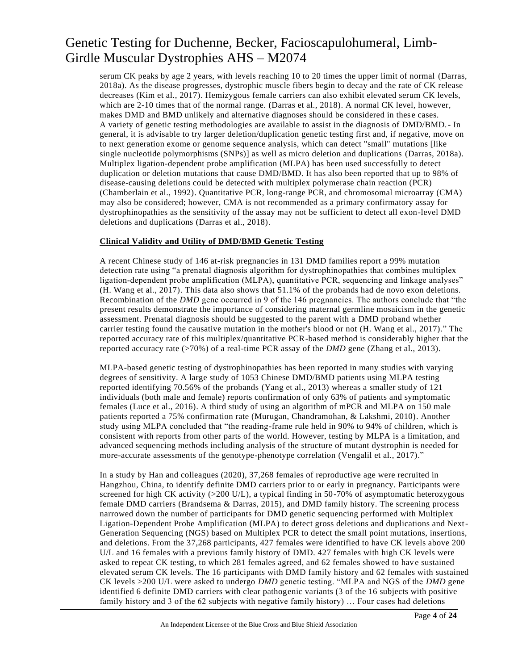serum CK peaks by age 2 years, with levels reaching 10 to 20 times the upper limit of normal (Darras, 2018a). As the disease progresses, dystrophic muscle fibers begin to decay and the rate of CK release decreases (Kim et al., 2017). Hemizygous female carriers can also exhibit elevated serum CK levels, which are 2-10 times that of the normal range. (Darras et al., 2018). A normal CK level, however, makes DMD and BMD unlikely and alternative diagnoses should be considered in these cases. A variety of genetic testing methodologies are available to assist in the diagnosis of DMD/BMD.- In general, it is advisable to try larger deletion/duplication genetic testing first and, if negative, move on to next generation exome or genome sequence analysis, which can detect "small" mutations [like single nucleotide polymorphisms (SNPs)] as well as micro deletion and duplications (Darras, 2018a). Multiplex ligation-dependent probe amplification (MLPA) has been used successfully to detect duplication or deletion mutations that cause DMD/BMD. It has also been reported that up to 98% of disease-causing deletions could be detected with multiplex polymerase chain reaction (PCR) (Chamberlain et al., 1992). Quantitative PCR, long-range PCR, and chromosomal microarray (CMA) may also be considered; however, CMA is not recommended as a primary confirmatory assay for dystrophinopathies as the sensitivity of the assay may not be sufficient to detect all exon-level DMD deletions and duplications (Darras et al., 2018).

#### **Clinical Validity and Utility of DMD/BMD Genetic Testing**

A recent Chinese study of 146 at-risk pregnancies in 131 DMD families report a 99% mutation detection rate using "a prenatal diagnosis algorithm for dystrophinopathies that combines multiplex ligation-dependent probe amplification (MLPA), quantitative PCR, sequencing and linkage analyses" (H. Wang et al., 2017). This data also shows that 51.1% of the probands had de novo exon deletions. Recombination of the *DMD* gene occurred in 9 of the 146 pregnancies. The authors conclude that "the present results demonstrate the importance of considering maternal germline mosaicism in the genetic assessment. Prenatal diagnosis should be suggested to the parent with a DMD proband whether carrier testing found the causative mutation in the mother's blood or not (H. Wang et al., 2017)." The reported accuracy rate of this multiplex/quantitative PCR-based method is considerably higher that the reported accuracy rate (>70%) of a real-time PCR assay of the *DMD* gene (Zhang et al., 2013).

MLPA-based genetic testing of dystrophinopathies has been reported in many studies with varying degrees of sensitivity. A large study of 1053 Chinese DMD/BMD patients using MLPA testing reported identifying 70.56% of the probands (Yang et al., 2013) whereas a smaller study of 121 individuals (both male and female) reports confirmation of only 63% of patients and symptomatic females (Luce et al., 2016). A third study of using an algorithm of mPCR and MLPA on 150 male patients reported a 75% confirmation rate (Murugan, Chandramohan, & Lakshmi, 2010). Another study using MLPA concluded that "the reading-frame rule held in 90% to 94% of children, which is consistent with reports from other parts of the world. However, testing by MLPA is a limitation, and advanced sequencing methods including analysis of the structure of mutant dystrophin is needed for more-accurate assessments of the genotype-phenotype correlation (Vengalil et al., 2017)."

In a study by Han and colleagues (2020), 37,268 females of reproductive age were recruited in Hangzhou, China, to identify definite DMD carriers prior to or early in pregnancy. Participants were screened for high CK activity ( $>$ 200 U/L), a typical finding in 50-70% of asymptomatic heterozygous female DMD carriers (Brandsema & Darras, 2015), and DMD family history. The screening process narrowed down the number of participants for DMD genetic sequencing performed with Multiplex Ligation-Dependent Probe Amplification (MLPA) to detect gross deletions and duplications and Next-Generation Sequencing (NGS) based on Multiplex PCR to detect the small point mutations, insertions, and deletions. From the 37,268 participants, 427 females were identified to have CK levels above 200 U/L and 16 females with a previous family history of DMD. 427 females with high CK levels were asked to repeat CK testing, to which 281 females agreed, and 62 females showed to have sustained elevated serum CK levels. The 16 participants with DMD family history and 62 females with sustained CK levels >200 U/L were asked to undergo *DMD* genetic testing. "MLPA and NGS of the *DMD* gene identified 6 definite DMD carriers with clear pathogenic variants (3 of the 16 subjects with positive family history and 3 of the 62 subjects with negative family history) … Four cases had deletions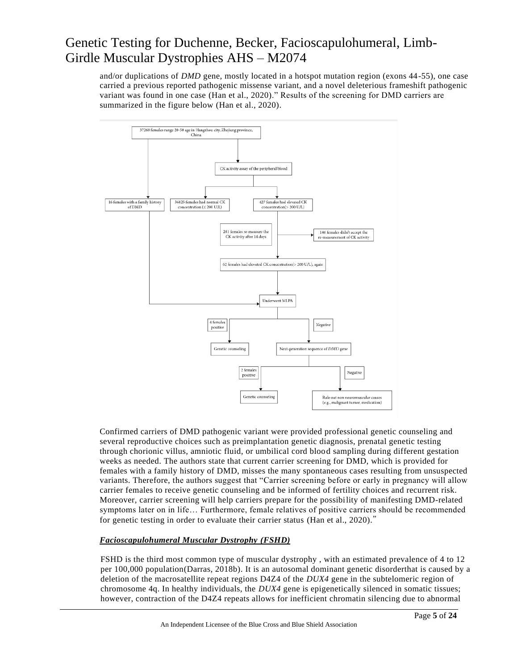and/or duplications of *DMD* gene, mostly located in a hotspot mutation region (exons 44-55), one case carried a previous reported pathogenic missense variant, and a novel deleterious frameshift pathogenic variant was found in one case (Han et al., 2020)." Results of the screening for DMD carriers are summarized in the figure below (Han et al., 2020).



Confirmed carriers of DMD pathogenic variant were provided professional genetic counseling and several reproductive choices such as preimplantation genetic diagnosis, prenatal genetic testing through chorionic villus, amniotic fluid, or umbilical cord blood sampling during different gestation weeks as needed. The authors state that current carrier screening for DMD, which is provided for females with a family history of DMD, misses the many spontaneous cases resulting from unsuspected variants. Therefore, the authors suggest that "Carrier screening before or early in pregnancy will allow carrier females to receive genetic counseling and be informed of fertility choices and recurrent risk. Moreover, carrier screening will help carriers prepare for the possibility of manifesting DMD-related symptoms later on in life… Furthermore, female relatives of positive carriers should be recommended for genetic testing in order to evaluate their carrier status (Han et al., 2020)."

### *Facioscapulohumeral Muscular Dystrophy (FSHD)*

FSHD is the third most common type of muscular dystrophy , with an estimated prevalence of 4 to 12 per 100,000 population(Darras, 2018b). It is an autosomal dominant genetic disorderthat is caused by a deletion of the macrosatellite repeat regions D4Z4 of the *DUX4* gene in the subtelomeric region of chromosome 4q. In healthy individuals, the *DUX4* gene is epigenetically silenced in somatic tissues; however, contraction of the D4Z4 repeats allows for inefficient chromatin silencing due to abnormal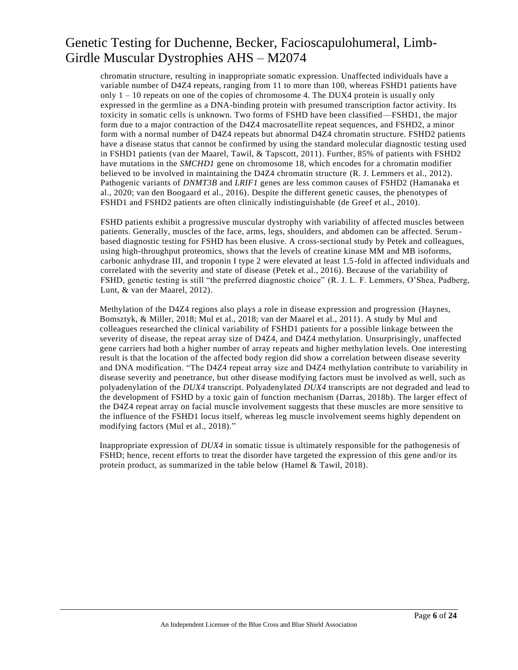chromatin structure, resulting in inappropriate somatic expression. Unaffected individuals have a variable number of D4Z4 repeats, ranging from 11 to more than 100, whereas FSHD1 patients have only  $1 - 10$  repeats on one of the copies of chromosome 4. The DUX4 protein is usually only expressed in the germline as a DNA-binding protein with presumed transcription factor activity. Its toxicity in somatic cells is unknown. Two forms of FSHD have been classified—FSHD1, the major form due to a major contraction of the D4Z4 macrosatellite repeat sequences, and FSHD2, a minor form with a normal number of D4Z4 repeats but abnormal D4Z4 chromatin structure. FSHD2 patients have a disease status that cannot be confirmed by using the standard molecular diagnostic testing used in FSHD1 patients (van der Maarel, Tawil, & Tapscott, 2011). Further, 85% of patients with FSHD2 have mutations in the *SMCHD1* gene on chromosome 18, which encodes for a chromatin modifier believed to be involved in maintaining the D4Z4 chromatin structure (R. J. Lemmers et al., 2012). Pathogenic variants of *DNMT3B* and *LRIF1* genes are less common causes of FSHD2 (Hamanaka et al., 2020; van den Boogaard et al., 2016). Despite the different genetic causes, the phenotypes of FSHD1 and FSHD2 patients are often clinically indistinguishable (de Greef et al., 2010).

FSHD patients exhibit a progressive muscular dystrophy with variability of affected muscles between patients. Generally, muscles of the face, arms, legs, shoulders, and abdomen can be affected. Serumbased diagnostic testing for FSHD has been elusive. A cross-sectional study by Petek and colleagues, using high-throughput proteomics, shows that the levels of creatine kinase MM and MB isoforms, carbonic anhydrase III, and troponin I type 2 were elevated at least 1.5-fold in affected individuals and correlated with the severity and state of disease (Petek et al., 2016). Because of the variability of FSHD, genetic testing is still "the preferred diagnostic choice" (R. J. L. F. Lemmers, O'Shea, Padberg, Lunt, & van der Maarel, 2012).

Methylation of the D4Z4 regions also plays a role in disease expression and progression (Haynes, Bomsztyk, & Miller, 2018; Mul et al., 2018; van der Maarel et al., 2011). A study by Mul and colleagues researched the clinical variability of FSHD1 patients for a possible linkage between the severity of disease, the repeat array size of D4Z4, and D4Z4 methylation. Unsurprisingly, unaffected gene carriers had both a higher number of array repeats and higher methylation levels. One interesting result is that the location of the affected body region did show a correlation between disease severity and DNA modification. "The D4Z4 repeat array size and D4Z4 methylation contribute to variability in disease severity and penetrance, but other disease modifying factors must be involved as well, such as polyadenylation of the *DUX4* transcript. Polyadenylated *DUX4* transcripts are not degraded and lead to the development of FSHD by a toxic gain of function mechanism (Darras, 2018b). The larger effect of the D4Z4 repeat array on facial muscle involvement suggests that these muscles are more sensitive to the influence of the FSHD1 locus itself, whereas leg muscle involvement seems highly dependent on modifying factors (Mul et al., 2018)."

Inappropriate expression of *DUX4* in somatic tissue is ultimately responsible for the pathogenesis of FSHD; hence, recent efforts to treat the disorder have targeted the expression of this gene and/or its protein product, as summarized in the table below (Hamel & Tawil, 2018).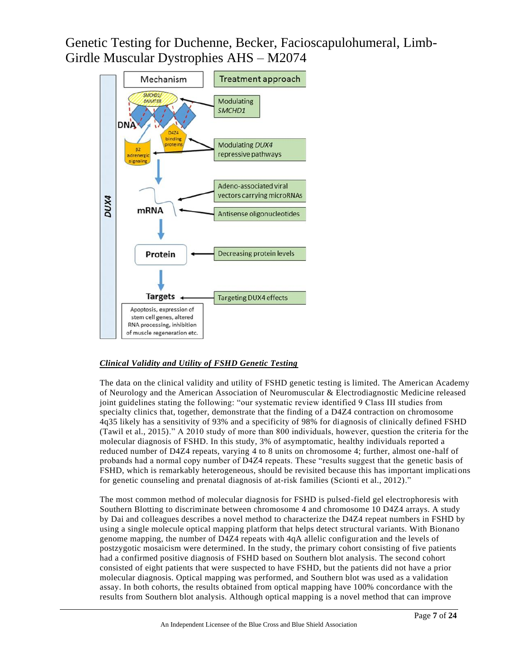

#### *Clinical Validity and Utility of FSHD Genetic Testing*

The data on the clinical validity and utility of FSHD genetic testing is limited. The American Academy of Neurology and the American Association of Neuromuscular & Electrodiagnostic Medicine released joint guidelines stating the following: "our systematic review identified 9 Class III studies from specialty clinics that, together, demonstrate that the finding of a D4Z4 contraction on chromosome 4q35 likely has a sensitivity of 93% and a specificity of 98% for diagnosis of clinically defined FSHD (Tawil et al., 2015)." A 2010 study of more than 800 individuals, however, question the criteria for the molecular diagnosis of FSHD. In this study, 3% of asymptomatic, healthy individuals reported a reduced number of D4Z4 repeats, varying 4 to 8 units on chromosome 4; further, almost one-half of probands had a normal copy number of D4Z4 repeats. These "results suggest that the genetic basis of FSHD, which is remarkably heterogeneous, should be revisited because this has important implicati ons for genetic counseling and prenatal diagnosis of at-risk families (Scionti et al., 2012)."

The most common method of molecular diagnosis for FSHD is pulsed-field gel electrophoresis with Southern Blotting to discriminate between chromosome 4 and chromosome 10 D4Z4 arrays. A study by Dai and colleagues describes a novel method to characterize the D4Z4 repeat numbers in FSHD by using a single molecule optical mapping platform that helps detect structural variants. With Bionano genome mapping, the number of D4Z4 repeats with 4qA allelic configuration and the levels of postzygotic mosaicism were determined. In the study, the primary cohort consisting of five patients had a confirmed positive diagnosis of FSHD based on Southern blot analysis. The second cohort consisted of eight patients that were suspected to have FSHD, but the patients did not have a prior molecular diagnosis. Optical mapping was performed, and Southern blot was used as a validation assay. In both cohorts, the results obtained from optical mapping have 100% concordance with the results from Southern blot analysis. Although optical mapping is a novel method that can improve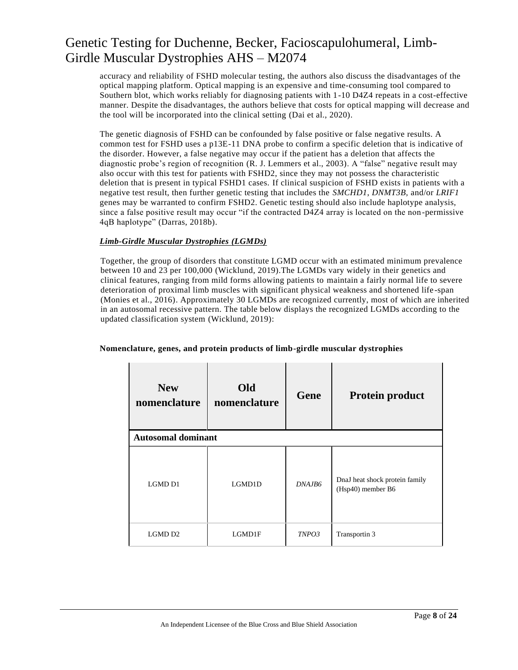accuracy and reliability of FSHD molecular testing, the authors also discuss the disadvantages of the optical mapping platform. Optical mapping is an expensive and time-consuming tool compared to Southern blot, which works reliably for diagnosing patients with 1-10 D4Z4 repeats in a cost-effective manner. Despite the disadvantages, the authors believe that costs for optical mapping will decrease and the tool will be incorporated into the clinical setting (Dai et al., 2020).

The genetic diagnosis of FSHD can be confounded by false positive or false negative results. A common test for FSHD uses a p13E-11 DNA probe to confirm a specific deletion that is indicative of the disorder. However, a false negative may occur if the patient has a deletion that affects the diagnostic probe's region of recognition (R. J. Lemmers et al., 2003). A "false" negative result may also occur with this test for patients with FSHD2, since they may not possess the characteristic deletion that is present in typical FSHD1 cases. If clinical suspicion of FSHD exists in patients with a negative test result, then further genetic testing that includes the *SMCHD1*, *DNMT3B,* and/or *LRIF1* genes may be warranted to confirm FSHD2. Genetic testing should also include haplotype analysis, since a false positive result may occur "if the contracted D4Z4 array is located on the non -permissive 4qB haplotype" (Darras, 2018b).

### *Limb-Girdle Muscular Dystrophies (LGMDs)*

Together, the group of disorders that constitute LGMD occur with an estimated minimum prevalence between 10 and 23 per 100,000 (Wicklund, 2019).The LGMDs vary widely in their genetics and clinical features, ranging from mild forms allowing patients to maintain a fairly normal life to severe deterioration of proximal limb muscles with significant physical weakness and shortened life -span (Monies et al., 2016). Approximately 30 LGMDs are recognized currently, most of which are inherited in an autosomal recessive pattern. The table below displays the recognized LGMDs according to the updated classification system (Wicklund, 2019):

| <b>New</b><br>nomenclature | Old<br>nomenclature | <b>Gene</b> | <b>Protein product</b>                              |  |
|----------------------------|---------------------|-------------|-----------------------------------------------------|--|
| <b>Autosomal dominant</b>  |                     |             |                                                     |  |
| LGMD D1                    | LGMD1D              | DNA.IB6     | DnaJ heat shock protein family<br>(Hsp40) member B6 |  |
| LGMD D2                    | LGMD1F              | TNPO3       | Transportin 3                                       |  |

#### **Nomenclature, genes, and protein products of limb-girdle muscular dystrophies**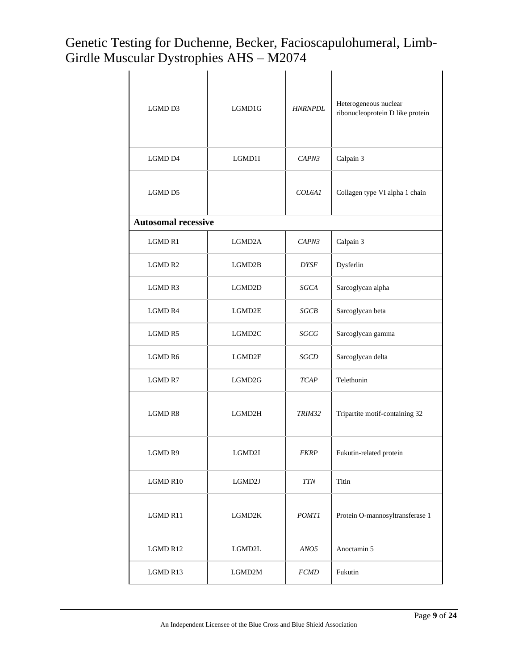| LGMD D3                    | LGMD1G          | <b>HNRNPDL</b> | Heterogeneous nuclear<br>ribonucleoprotein D like protein |
|----------------------------|-----------------|----------------|-----------------------------------------------------------|
| LGMD D4                    | LGMD1I          | CAPN3          | Calpain 3                                                 |
| LGMD D5                    |                 | COL6A1         | Collagen type VI alpha 1 chain                            |
| <b>Autosomal recessive</b> |                 |                |                                                           |
| LGMD <sub>R1</sub>         | LGMD2A          | CAPN3          | Calpain 3                                                 |
| LGMD R2                    | LGMD2B          | <b>DYSF</b>    | Dysferlin                                                 |
| LGMD R3                    | LGMD2D          | SGCA           | Sarcoglycan alpha                                         |
| LGMD R4                    | LGMD2E          | SGCB           | Sarcoglycan beta                                          |
| LGMD R5                    | LGMD2C          | SGCG           | Sarcoglycan gamma                                         |
| LGMD R6                    | LGMD2F          | SGCD           | Sarcoglycan delta                                         |
| LGMD R7                    | LGMD2G          | <b>TCAP</b>    | Telethonin                                                |
| <b>LGMD R8</b>             | LGMD2H          | TRIM32         | Tripartite motif-containing 32                            |
| LGMD R9                    | $_{\rm LGMD2I}$ | <i>FKRP</i>    | Fukutin-related protein                                   |
| LGMD R10                   | LGMD2J          | <b>TTN</b>     | Titin                                                     |
| LGMD R11                   | LGMD2K          | <b>POMT1</b>   | Protein O-mannosyltransferase 1                           |
| LGMD R12                   | ${\rm LGMD2L}$  | ANO5           | Anoctamin 5                                               |
| LGMD R13                   | $_{\rm LGMD2M}$ | <b>FCMD</b>    | Fukutin                                                   |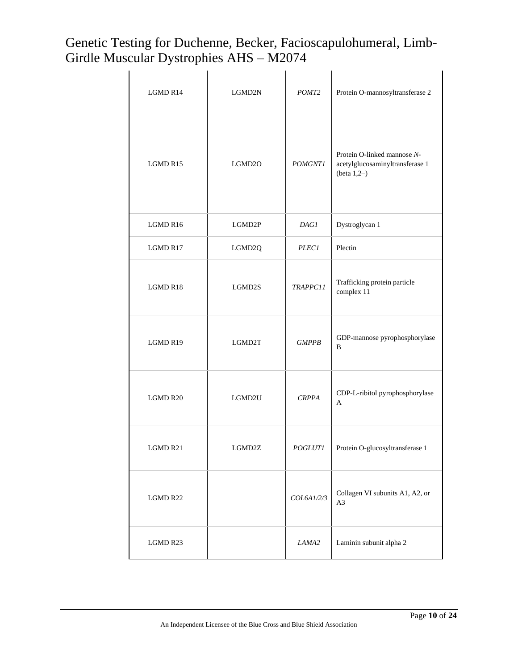| LGMD R14 | LGMD2N | POMT <sub>2</sub> | Protein O-mannosyltransferase 2                                                  |
|----------|--------|-------------------|----------------------------------------------------------------------------------|
| LGMD R15 | LGMD2O | <b>POMGNT1</b>    | Protein O-linked mannose N-<br>acetylglucosaminyltransferase 1<br>(beta $1,2-$ ) |
| LGMD R16 | LGMD2P | <b>DAG1</b>       | Dystroglycan 1                                                                   |
| LGMD R17 | LGMD2Q | <b>PLEC1</b>      | Plectin                                                                          |
| LGMD R18 | LGMD2S | TRAPPC11          | Trafficking protein particle<br>complex 11                                       |
| LGMD R19 | LGMD2T | <b>GMPPB</b>      | GDP-mannose pyrophosphorylase<br>B                                               |
| LGMD R20 | LGMD2U | <b>CRPPA</b>      | CDP-L-ribitol pyrophosphorylase<br>$\mathbf{A}$                                  |
| LGMD R21 | LGMD2Z | <i>POGLUTI</i>    | Protein O-glucosyltransferase 1                                                  |
| LGMD R22 |        | COL6A1/2/3        | Collagen VI subunits A1, A2, or<br>A3                                            |
| LGMD R23 |        | LAMA2             | Laminin subunit alpha 2                                                          |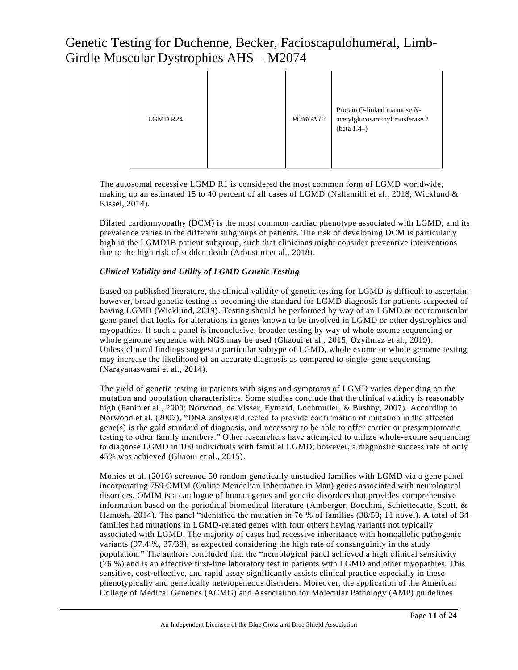| LGMD R24 |  | POMGNT2 | Protein O-linked mannose N-<br>acetylglucosaminyltransferase 2<br>(beta $1,4-$ ) |
|----------|--|---------|----------------------------------------------------------------------------------|
|----------|--|---------|----------------------------------------------------------------------------------|

The autosomal recessive LGMD R1 is considered the most common form of LGMD worldwide, making up an estimated 15 to 40 percent of all cases of LGMD (Nallamilli et al., 2018; Wicklund  $\&$ Kissel, 2014).

Dilated cardiomyopathy (DCM) is the most common cardiac phenotype associated with LGMD, and its prevalence varies in the different subgroups of patients. The risk of developing DCM is particularly high in the LGMD1B patient subgroup, such that clinicians might consider preventive interventions due to the high risk of sudden death (Arbustini et al., 2018).

### *Clinical Validity and Utility of LGMD Genetic Testing*

Based on published literature, the clinical validity of genetic testing for LGMD is difficult to ascertain; however, broad genetic testing is becoming the standard for LGMD diagnosis for patients suspected of having LGMD (Wicklund, 2019). Testing should be performed by way of an LGMD or neuromuscular gene panel that looks for alterations in genes known to be involved in LGMD or other dystrophies and myopathies. If such a panel is inconclusive, broader testing by way of whole exome sequencing or whole genome sequence with NGS may be used (Ghaoui et al., 2015; Ozyilmaz et al., 2019). Unless clinical findings suggest a particular subtype of LGMD, whole exome or whole genome testing may increase the likelihood of an accurate diagnosis as compared to single-gene sequencing (Narayanaswami et al., 2014).

The yield of genetic testing in patients with signs and symptoms of LGMD varies depending on the mutation and population characteristics. Some studies conclude that the clinical validity is reasonably high (Fanin et al., 2009; Norwood, de Visser, Eymard, Lochmuller, & Bushby, 2007). According to Norwood et al. (2007), "DNA analysis directed to provide confirmation of mutation in the affected gene(s) is the gold standard of diagnosis, and necessary to be able to offer carrier or presymptomatic testing to other family members." Other researchers have attempted to utilize whole-exome sequencing to diagnose LGMD in 100 individuals with familial LGMD; however, a diagnostic success rate of only 45% was achieved (Ghaoui et al., 2015).

Monies et al. (2016) screened 50 random genetically unstudied families with LGMD via a gene panel incorporating 759 OMIM (Online Mendelian Inheritance in Man) genes associated with neurological disorders. OMIM is a catalogue of human genes and genetic disorders that provides comprehensive information based on the periodical biomedical literature (Amberger, Bocchini, Schiettecatte, Scott, & Hamosh, 2014). The panel "identified the mutation in 76 % of families (38/50; 11 novel). A total of 34 families had mutations in LGMD-related genes with four others having variants not typically associated with LGMD. The majority of cases had recessive inheritance with homoallelic pathogenic variants (97.4 %, 37/38), as expected considering the high rate of consanguinity in the study population." The authors concluded that the "neurological panel achieved a high clinical sensitivity (76 %) and is an effective first-line laboratory test in patients with LGMD and other myopathies. This sensitive, cost-effective, and rapid assay significantly assists clinical practice especially in these phenotypically and genetically heterogeneous disorders. Moreover, the application of the American College of Medical Genetics (ACMG) and Association for Molecular Pathology (AMP) guidelines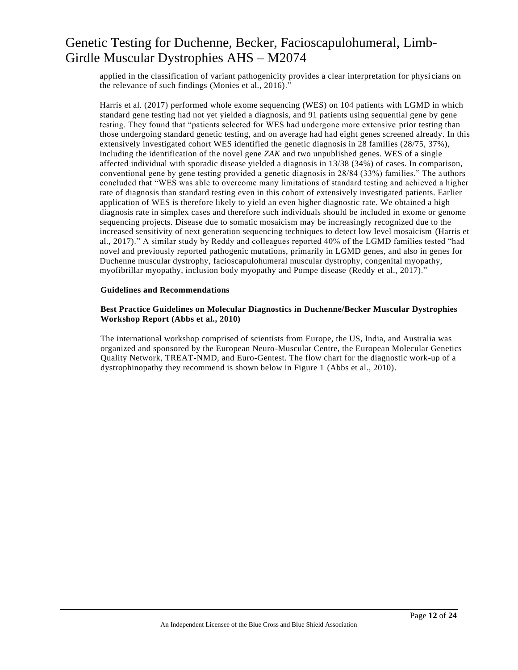applied in the classification of variant pathogenicity provides a clear interpretation for physi cians on the relevance of such findings (Monies et al., 2016)."

Harris et al. (2017) performed whole exome sequencing (WES) on 104 patients with LGMD in which standard gene testing had not yet yielded a diagnosis, and 91 patients using sequential gene by gene testing. They found that "patients selected for WES had undergone more extensive prior testing than those undergoing standard genetic testing, and on average had had eight genes screened already. In this extensively investigated cohort WES identified the genetic diagnosis in 28 families (28/75, 37%), including the identification of the novel gene *ZAK* and two unpublished genes. WES of a single affected individual with sporadic disease yielded a diagnosis in 13/38 (34%) of cases. In comparison, conventional gene by gene testing provided a genetic diagnosis in 28/84 (33%) families." The a uthors concluded that "WES was able to overcome many limitations of standard testing and achieved a higher rate of diagnosis than standard testing even in this cohort of extensively investigated patients. Earlier application of WES is therefore likely to yield an even higher diagnostic rate. We obtained a high diagnosis rate in simplex cases and therefore such individuals should be included in exome or genome sequencing projects. Disease due to somatic mosaicism may be increasingly recognized due to the increased sensitivity of next generation sequencing techniques to detect low level mosaicism (Harris et al., 2017)." A similar study by Reddy and colleagues reported 40% of the LGMD families tested "had novel and previously reported pathogenic mutations, primarily in LGMD genes, and also in genes for Duchenne muscular dystrophy, facioscapulohumeral muscular dystrophy, congenital myopathy, myofibrillar myopathy, inclusion body myopathy and Pompe disease (Reddy et al., 2017)."

#### **Guidelines and Recommendations**

#### **Best Practice Guidelines on Molecular Diagnostics in Duchenne/Becker Muscular Dystrophies Workshop Report (Abbs et al., 2010)**

The international workshop comprised of scientists from Europe, the US, India, and Australia was organized and sponsored by the European Neuro-Muscular Centre, the European Molecular Genetics Quality Network, TREAT-NMD, and Euro-Gentest. The flow chart for the diagnostic work-up of a dystrophinopathy they recommend is shown below in Figure 1 (Abbs et al., 2010).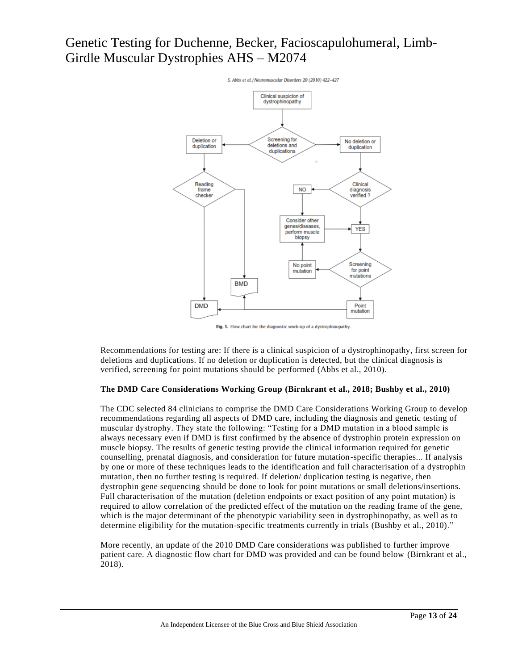

Fig. 1. Flow chart for the diagnostic work-up of a dystrophinopathy.

Recommendations for testing are: If there is a clinical suspicion of a dystrophinopathy, first screen for deletions and duplications. If no deletion or duplication is detected, but the clinical diagnosis is verified, screening for point mutations should be performed (Abbs et al., 2010).

#### **The DMD Care Considerations Working Group (Birnkrant et al., 2018; Bushby et al., 2010)**

The CDC selected 84 clinicians to comprise the DMD Care Considerations Working Group to develop recommendations regarding all aspects of DMD care, including the diagnosis and genetic testing of muscular dystrophy. They state the following: "Testing for a DMD mutation in a blood sample is always necessary even if DMD is first confirmed by the absence of dystrophin protein expression on muscle biopsy. The results of genetic testing provide the clinical information required for genetic counselling, prenatal diagnosis, and consideration for future mutation-specific therapies... If analysis by one or more of these techniques leads to the identification and full characterisation of a dystrophin mutation, then no further testing is required. If deletion/ duplication testing is negative, then dystrophin gene sequencing should be done to look for point mutations or small deletions/insertions. Full characterisation of the mutation (deletion endpoints or exact position of any point mutation) is required to allow correlation of the predicted effect of the mutation on the reading frame of the gene, which is the major determinant of the phenotypic variability seen in dystrophinopathy, as well as to determine eligibility for the mutation-specific treatments currently in trials (Bushby et al., 2010)."

More recently, an update of the 2010 DMD Care considerations was published to further improve patient care. A diagnostic flow chart for DMD was provided and can be found below (Birnkrant et al., 2018).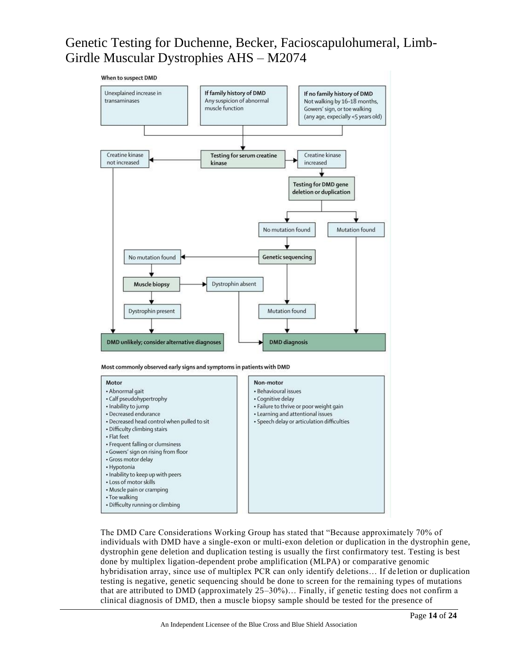

The DMD Care Considerations Working Group has stated that "Because approximately 70% of individuals with DMD have a single-exon or multi-exon deletion or duplication in the dystrophin gene, dystrophin gene deletion and duplication testing is usually the first confirmatory test. Testing is best done by multiplex ligation-dependent probe amplification (MLPA) or comparative genomic hybridisation array, since use of multiplex PCR can only identify deletions… If de letion or duplication testing is negative, genetic sequencing should be done to screen for the remaining types of mutations that are attributed to DMD (approximately 25–30%)… Finally, if genetic testing does not confirm a clinical diagnosis of DMD, then a muscle biopsy sample should be tested for the presence of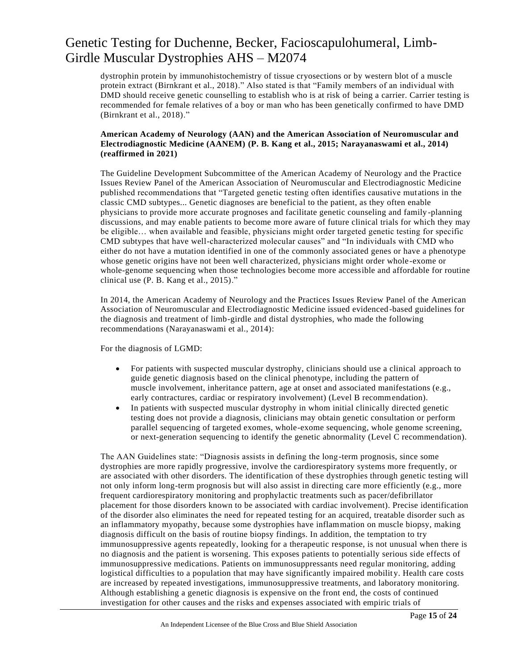dystrophin protein by immunohistochemistry of tissue cryosections or by western blot of a muscle protein extract (Birnkrant et al., 2018)." Also stated is that "Family members of an individual with DMD should receive genetic counselling to establish who is at risk of being a carrier. Carrier testing is recommended for female relatives of a boy or man who has been genetically confirmed to have DMD (Birnkrant et al., 2018)."

#### **American Academy of Neurology (AAN) and the American Association of Neuromuscular and Electrodiagnostic Medicine (AANEM) (P. B. Kang et al., 2015; Narayanaswami et al., 2014) (reaffirmed in 2021)**

The Guideline Development Subcommittee of the American Academy of Neurology and the Practice Issues Review Panel of the American Association of Neuromuscular and Electrodiagnostic Medicine published recommendations that "Targeted genetic testing often identifies causative mut ations in the classic CMD subtypes... Genetic diagnoses are beneficial to the patient, as they often enable physicians to provide more accurate prognoses and facilitate genetic counseling and family -planning discussions, and may enable patients to become more aware of future clinical trials for which they may be eligible… when available and feasible, physicians might order targeted genetic testing for specific CMD subtypes that have well-characterized molecular causes" and "In individuals with CMD who either do not have a mutation identified in one of the commonly associated genes or have a phenotype whose genetic origins have not been well characterized, physicians might order whole -exome or whole-genome sequencing when those technologies become more accessible and affordable for routine clinical use (P. B. Kang et al., 2015)."

In 2014, the American Academy of Neurology and the Practices Issues Review Panel of the American Association of Neuromuscular and Electrodiagnostic Medicine issued evidenced-based guidelines for the diagnosis and treatment of limb-girdle and distal dystrophies, who made the following recommendations (Narayanaswami et al., 2014):

For the diagnosis of LGMD:

- For patients with suspected muscular dystrophy, clinicians should use a clinical approach to guide genetic diagnosis based on the clinical phenotype, including the pattern of muscle involvement, inheritance pattern, age at onset and associated manifestations (e.g., early contractures, cardiac or respiratory involvement) (Level B recommendation).
- In patients with suspected muscular dystrophy in whom initial clinically directed genetic testing does not provide a diagnosis, clinicians may obtain genetic consultation or perform parallel sequencing of targeted exomes, whole-exome sequencing, whole genome screening, or next-generation sequencing to identify the genetic abnormality (Level C recommendation).

The AAN Guidelines state: "Diagnosis assists in defining the long-term prognosis, since some dystrophies are more rapidly progressive, involve the cardiorespiratory systems more frequently, or are associated with other disorders. The identification of these dystrophies through genetic testing will not only inform long-term prognosis but will also assist in directing care more efficiently (e.g., more frequent cardiorespiratory monitoring and prophylactic treatments such as pacer/defibrillator placement for those disorders known to be associated with cardiac involvement). Precise identification of the disorder also eliminates the need for repeated testing for an acquired, treatable disorder such as an inflammatory myopathy, because some dystrophies have inflammation on muscle biopsy, making diagnosis difficult on the basis of routine biopsy findings. In addition, the temptation to try immunosuppressive agents repeatedly, looking for a therapeutic response, is not unusual when there is no diagnosis and the patient is worsening. This exposes patients to potentially serious side effects of immunosuppressive medications. Patients on immunosuppressants need regular monitoring, adding logistical difficulties to a population that may have significantly impaired mobility. Health care costs are increased by repeated investigations, immunosuppressive treatments, and laboratory monitoring. Although establishing a genetic diagnosis is expensive on the front end, the costs of continued investigation for other causes and the risks and expenses associated with empiric trials of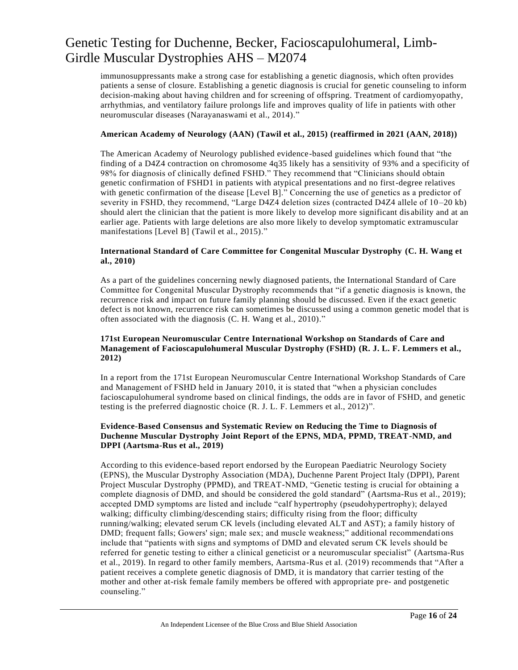immunosuppressants make a strong case for establishing a genetic diagnosis, which often provides patients a sense of closure. Establishing a genetic diagnosis is crucial for genetic counseling to inform decision-making about having children and for screening of offspring. Treatment of cardiomyopathy, arrhythmias, and ventilatory failure prolongs life and improves quality of life in patients with other neuromuscular diseases (Narayanaswami et al., 2014)."

#### **American Academy of Neurology (AAN) (Tawil et al., 2015) (reaffirmed in 2021 (AAN, 2018))**

The American Academy of Neurology published evidence-based guidelines which found that "the finding of a D4Z4 contraction on chromosome 4q35 likely has a sensitivity of 93% and a specificity of 98% for diagnosis of clinically defined FSHD." They recommend that "Clinicians should obtain genetic confirmation of FSHD1 in patients with atypical presentations and no first-degree relatives with genetic confirmation of the disease [Level B]." Concerning the use of genetics as a predictor of severity in FSHD, they recommend, "Large D4Z4 deletion sizes (contracted D4Z4 allele of 10–20 kb) should alert the clinician that the patient is more likely to develop more significant dis ability and at an earlier age. Patients with large deletions are also more likely to develop symptomatic extramuscular manifestations [Level B] (Tawil et al., 2015)."

#### **International Standard of Care Committee for Congenital Muscular Dystrophy (C. H. Wang et al., 2010)**

As a part of the guidelines concerning newly diagnosed patients, the International Standard of Care Committee for Congenital Muscular Dystrophy recommends that "if a genetic diagnosis is known, the recurrence risk and impact on future family planning should be discussed. Even if the exact genetic defect is not known, recurrence risk can sometimes be discussed using a common genetic model that is often associated with the diagnosis (C. H. Wang et al., 2010)."

#### **171st European Neuromuscular Centre International Workshop on Standards of Care and Management of Facioscapulohumeral Muscular Dystrophy (FSHD) (R. J. L. F. Lemmers et al., 2012)**

In a report from the 171st European Neuromuscular Centre International Workshop Standards of Care and Management of FSHD held in January 2010, it is stated that "when a physician concludes facioscapulohumeral syndrome based on clinical findings, the odds are in favor of FSHD, and genetic testing is the preferred diagnostic choice (R. J. L. F. Lemmers et al., 2012)".

#### **Evidence-Based Consensus and Systematic Review on Reducing the Time to Diagnosis of Duchenne Muscular Dystrophy Joint Report of the EPNS, MDA, PPMD, TREAT-NMD, and DPPI (Aartsma-Rus et al., 2019)**

According to this evidence-based report endorsed by the European Paediatric Neurology Society (EPNS), the Muscular Dystrophy Association (MDA), Duchenne Parent Project Italy (DPPI), Parent Project Muscular Dystrophy (PPMD), and TREAT-NMD, "Genetic testing is crucial for obtaining a complete diagnosis of DMD, and should be considered the gold standard" (Aartsma-Rus et al., 2019); accepted DMD symptoms are listed and include "calf hypertrophy (pseudohypertrophy); delayed walking; difficulty climbing/descending stairs; difficulty rising from the floor; difficulty running/walking; elevated serum CK levels (including elevated ALT and AST); a family history of DMD; frequent falls; Gowers' sign; male sex; and muscle weakness;" additional recommendations include that "patients with signs and symptoms of DMD and elevated serum CK levels should be referred for genetic testing to either a clinical geneticist or a neuromuscular specialist" (Aartsma-Rus et al., 2019). In regard to other family members, Aartsma-Rus et al. (2019) recommends that "After a patient receives a complete genetic diagnosis of DMD, it is mandatory that carrier testing of the mother and other at-risk female family members be offered with appropriate pre- and postgenetic counseling."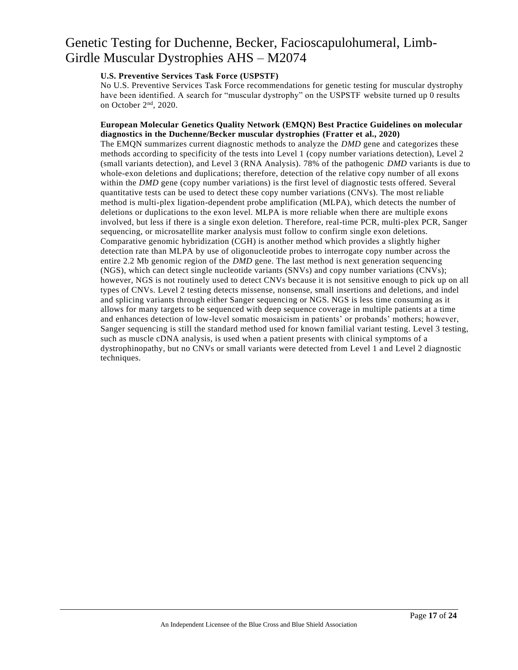### **U.S. Preventive Services Task Force (USPSTF)**

No U.S. Preventive Services Task Force recommendations for genetic testing for muscular dystrophy have been identified. A search for "muscular dystrophy" on the USPSTF website turned up 0 results on October 2nd, 2020.

#### **European Molecular Genetics Quality Network (EMQN) Best Practice Guidelines on molecular diagnostics in the Duchenne/Becker muscular dystrophies (Fratter et al., 2020)**

The EMQN summarizes current diagnostic methods to analyze the *DMD* gene and categorizes these methods according to specificity of the tests into Level 1 (copy number variations detection), Level 2 (small variants detection), and Level 3 (RNA Analysis). 78% of the pathogenic *DMD* variants is due to whole-exon deletions and duplications; therefore, detection of the relative copy number of all exons within the *DMD* gene (copy number variations) is the first level of diagnostic tests offered. Several quantitative tests can be used to detect these copy number variations (CNVs). The most re liable method is multi-plex ligation-dependent probe amplification (MLPA), which detects the number of deletions or duplications to the exon level. MLPA is more reliable when there are multiple exons involved, but less if there is a single exon deletion. Therefore, real-time PCR, multi-plex PCR, Sanger sequencing, or microsatellite marker analysis must follow to confirm single exon deletions. Comparative genomic hybridization (CGH) is another method which provides a slightly higher detection rate than MLPA by use of oligonucleotide probes to interrogate copy number across the entire 2.2 Mb genomic region of the *DMD* gene. The last method is next generation sequencing (NGS), which can detect single nucleotide variants (SNVs) and copy number variations (CNVs); however, NGS is not routinely used to detect CNVs because it is not sensitive enough to pick up on all types of CNVs. Level 2 testing detects missense, nonsense, small insertions and deletions, and indel and splicing variants through either Sanger sequencing or NGS. NGS is less time consuming as it allows for many targets to be sequenced with deep sequence coverage in multiple patients at a time and enhances detection of low-level somatic mosaicism in patients' or probands' mothers; however, Sanger sequencing is still the standard method used for known familial variant testing. Level 3 testing, such as muscle cDNA analysis, is used when a patient presents with clinical symptoms of a dystrophinopathy, but no CNVs or small variants were detected from Level 1 and Level 2 diagnostic techniques.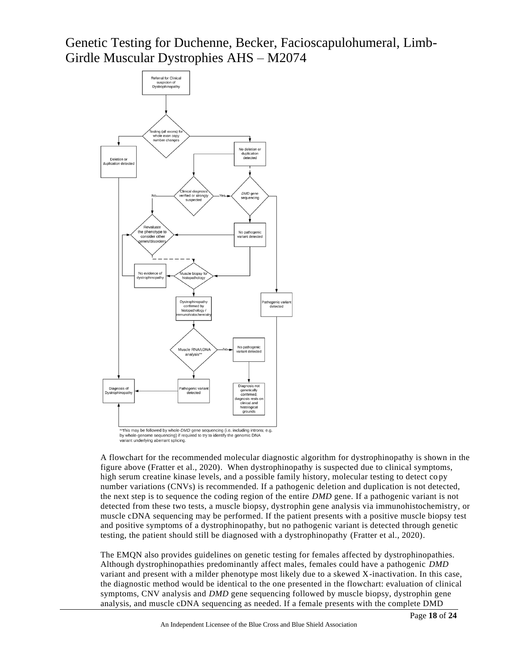

A flowchart for the recommended molecular diagnostic algorithm for dystrophinopathy is shown in the figure above (Fratter et al., 2020). When dystrophinopathy is suspected due to clinical symptoms, high serum creatine kinase levels, and a possible family history, molecular testing to detect copy number variations (CNVs) is recommended. If a pathogenic deletion and duplication is not detected, the next step is to sequence the coding region of the entire *DMD* gene. If a pathogenic variant is not detected from these two tests, a muscle biopsy, dystrophin gene analysis via immunohistochemistry, or muscle cDNA sequencing may be performed. If the patient presents with a positive muscle biopsy test and positive symptoms of a dystrophinopathy, but no pathogenic variant is detected through genetic testing, the patient should still be diagnosed with a dystrophinopathy (Fratter et al., 2020).

The EMQN also provides guidelines on genetic testing for females affected by dystrophinopathies. Although dystrophinopathies predominantly affect males, females could have a pathogenic *DMD* variant and present with a milder phenotype most likely due to a skewed X-inactivation. In this case, the diagnostic method would be identical to the one presented in the flowchart: evaluation of clinical symptoms, CNV analysis and *DMD* gene sequencing followed by muscle biopsy, dystrophin gene analysis, and muscle cDNA sequencing as needed. If a female presents with the complete DMD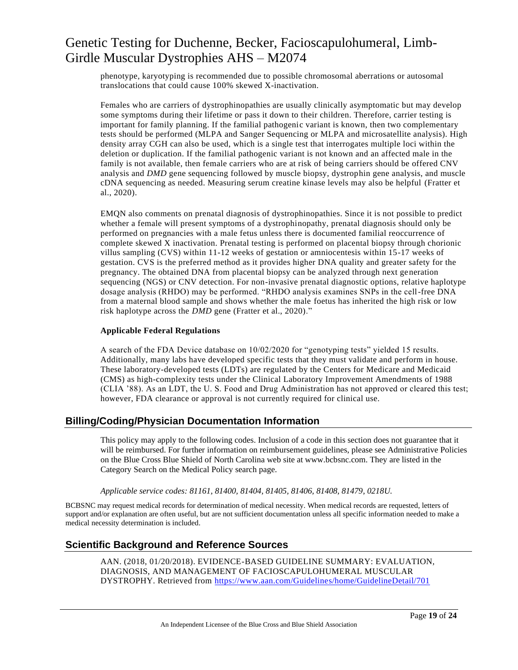phenotype, karyotyping is recommended due to possible chromosomal aberrations or autosomal translocations that could cause 100% skewed X-inactivation.

Females who are carriers of dystrophinopathies are usually clinically asymptomatic but may develop some symptoms during their lifetime or pass it down to their children. Therefore, carrier testing is important for family planning. If the familial pathogenic variant is known, then two complementary tests should be performed (MLPA and Sanger Sequencing or MLPA and microsatellite analysis). High density array CGH can also be used, which is a single test that interrogates multiple loci within the deletion or duplication. If the familial pathogenic variant is not known and an affected male in the family is not available, then female carriers who are at risk of being carriers should be offered CNV analysis and *DMD* gene sequencing followed by muscle biopsy, dystrophin gene analysis, and muscle cDNA sequencing as needed. Measuring serum creatine kinase levels may also be helpful (Fratter et al., 2020).

EMQN also comments on prenatal diagnosis of dystrophinopathies. Since it is not possible to predict whether a female will present symptoms of a dystrophinopathy, prenatal diagnosis should only be performed on pregnancies with a male fetus unless there is documented familial reoccurrence of complete skewed X inactivation. Prenatal testing is performed on placental biopsy through chorionic villus sampling (CVS) within 11-12 weeks of gestation or amniocentesis within 15-17 weeks of gestation. CVS is the preferred method as it provides higher DNA quality and greater safety for the pregnancy. The obtained DNA from placental biopsy can be analyzed through next generation sequencing (NGS) or CNV detection. For non-invasive prenatal diagnostic options, relative haplotype dosage analysis (RHDO) may be performed. "RHDO analysis examines SNPs in the cell-free DNA from a maternal blood sample and shows whether the male foetus has inherited the high risk or low risk haplotype across the *DMD* gene (Fratter et al., 2020)."

#### **Applicable Federal Regulations**

A search of the FDA Device database on 10/02/2020 for "genotyping tests" yielded 15 results. Additionally, many labs have developed specific tests that they must validate and perform in house. These laboratory-developed tests (LDTs) are regulated by the Centers for Medicare and Medicaid (CMS) as high-complexity tests under the Clinical Laboratory Improvement Amendments of 1988 (CLIA '88). As an LDT, the U. S. Food and Drug Administration has not approved or cleared this test; however, FDA clearance or approval is not currently required for clinical use.

### **Billing/Coding/Physician Documentation Information**

This policy may apply to the following codes. Inclusion of a code in this section does not guarantee that it will be reimbursed. For further information on reimbursement guidelines, please see Administrative Policies on the Blue Cross Blue Shield of North Carolina web site at www.bcbsnc.com. They are listed in the Category Search on the Medical Policy search page.

#### *Applicable service codes: 81161, 81400, 81404, 81405, 81406, 81408, 81479, 0218U.*

BCBSNC may request medical records for determination of medical necessity. When medical records are requested, letters of support and/or explanation are often useful, but are not sufficient documentation unless all specific information needed to make a medical necessity determination is included.

### **Scientific Background and Reference Sources**

AAN. (2018, 01/20/2018). EVIDENCE-BASED GUIDELINE SUMMARY: EVALUATION, DIAGNOSIS, AND MANAGEMENT OF FACIOSCAPULOHUMERAL MUSCULAR DYSTROPHY. Retrieved from<https://www.aan.com/Guidelines/home/GuidelineDetail/701>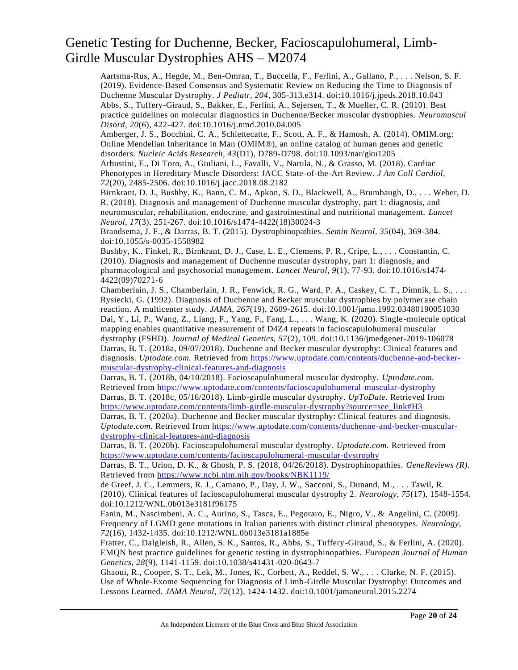Aartsma-Rus, A., Hegde, M., Ben-Omran, T., Buccella, F., Ferlini, A., Gallano, P., . . . Nelson, S. F. (2019). Evidence-Based Consensus and Systematic Review on Reducing the Time to Diagnosis of Duchenne Muscular Dystrophy. *J Pediatr, 204*, 305-313.e314. doi:10.1016/j.jpeds.2018.10.043 Abbs, S., Tuffery-Giraud, S., Bakker, E., Ferlini, A., Sejersen, T., & Mueller, C. R. (2010). Best practice guidelines on molecular diagnostics in Duchenne/Becker muscular dystrophies. *Neuromuscul Disord, 20*(6), 422-427. doi:10.1016/j.nmd.2010.04.005

Amberger, J. S., Bocchini, C. A., Schiettecatte, F., Scott, A. F., & Hamosh, A. (2014). OMIM.org: Online Mendelian Inheritance in Man (OMIM®), an online catalog of human genes and genetic disorders. *Nucleic Acids Research, 43*(D1), D789-D798. doi:10.1093/nar/gku1205

Arbustini, E., Di Toro, A., Giuliani, L., Favalli, V., Narula, N., & Grasso, M. (2018). Cardiac Phenotypes in Hereditary Muscle Disorders: JACC State-of-the-Art Review. *J Am Coll Cardiol, 72*(20), 2485-2506. doi:10.1016/j.jacc.2018.08.2182

Birnkrant, D. J., Bushby, K., Bann, C. M., Apkon, S. D., Blackwell, A., Brumbaugh, D., . . . Weber, D. R. (2018). Diagnosis and management of Duchenne muscular dystrophy, part 1: diagnosis, and neuromuscular, rehabilitation, endocrine, and gastrointestinal and nutritional management. *Lancet Neurol, 17*(3), 251-267. doi:10.1016/s1474-4422(18)30024-3

Brandsema, J. F., & Darras, B. T. (2015). Dystrophinopathies. *Semin Neurol, 35*(04), 369-384. doi:10.1055/s-0035-1558982

Bushby, K., Finkel, R., Birnkrant, D. J., Case, L. E., Clemens, P. R., Cripe, L., . . . Constantin, C. (2010). Diagnosis and management of Duchenne muscular dystrophy, part 1: diagnosis, and pharmacological and psychosocial management. *Lancet Neurol, 9*(1), 77-93. doi:10.1016/s1474- 4422(09)70271-6

Chamberlain, J. S., Chamberlain, J. R., Fenwick, R. G., Ward, P. A., Caskey, C. T., Dimnik, L. S., . . . Rysiecki, G. (1992). Diagnosis of Duchenne and Becker muscular dystrophies by polymer ase chain reaction. A multicenter study. *JAMA, 267*(19), 2609-2615. doi:10.1001/jama.1992.03480190051030 Dai, Y., Li, P., Wang, Z., Liang, F., Yang, F., Fang, L., . . . Wang, K. (2020). Single -molecule optical mapping enables quantitative measurement of D4Z4 repeats in facioscapulohumeral muscular dystrophy (FSHD). *Journal of Medical Genetics, 57*(2), 109. doi:10.1136/jmedgenet-2019-106078 Darras, B. T. (2018a, 09/07/2018). Duchenne and Becker muscular dystrophy: Clinical features and diagnosis. *Uptodate.com.* Retrieved from [https://www.uptodate.com/contents/duchenne-and-becker](https://www.uptodate.com/contents/duchenne-and-becker-muscular-dystrophy-clinical-features-and-diagnosis)[muscular-dystrophy-clinical-features-and-diagnosis](https://www.uptodate.com/contents/duchenne-and-becker-muscular-dystrophy-clinical-features-and-diagnosis)

Darras, B. T. (2018b, 04/10/2018). Facioscapulohumeral muscular dystrophy. *Uptodate.com.* Retrieved from<https://www.uptodate.com/contents/facioscapulohumeral-muscular-dystrophy> Darras, B. T. (2018c, 05/16/2018). Limb-girdle muscular dystrophy. *UpToDate.* Retrieved from [https://www.uptodate.com/contents/limb-girdle-muscular-dystrophy?source=see\\_link#H3](https://www.uptodate.com/contents/limb-girdle-muscular-dystrophy?source=see_link#H3)

Darras, B. T. (2020a). Duchenne and Becker muscular dystrophy: Clinical features and diagnosis. *Uptodate.com.* Retrieved from [https://www.uptodate.com/contents/duchenne-and-becker-muscular](https://www.uptodate.com/contents/duchenne-and-becker-muscular-dystrophy-clinical-features-and-diagnosis)[dystrophy-clinical-features-and-diagnosis](https://www.uptodate.com/contents/duchenne-and-becker-muscular-dystrophy-clinical-features-and-diagnosis)

Darras, B. T. (2020b). Facioscapulohumeral muscular dystrophy. *Uptodate.com.* Retrieved from <https://www.uptodate.com/contents/facioscapulohumeral-muscular-dystrophy>

Darras, B. T., Urion, D. K., & Ghosh, P. S. (2018, 04/26/2018). Dystrophinopathies. *GeneReviews (R).* Retrieved from<https://www.ncbi.nlm.nih.gov/books/NBK1119/>

de Greef, J. C., Lemmers, R. J., Camano, P., Day, J. W., Sacconi, S., Dunand, M., . . . Tawil, R. (2010). Clinical features of facioscapulohumeral muscular dystrophy 2. *Neurology, 75*(17), 1548-1554. doi:10.1212/WNL.0b013e3181f96175

Fanin, M., Nascimbeni, A. C., Aurino, S., Tasca, E., Pegoraro, E., Nigro, V., & Angelini, C. (2009). Frequency of LGMD gene mutations in Italian patients with distinct clinical phenotypes. *Neurology, 72*(16), 1432-1435. doi:10.1212/WNL.0b013e3181a1885e

Fratter, C., Dalgleish, R., Allen, S. K., Santos, R., Abbs, S., Tuffery-Giraud, S., & Ferlini, A. (2020). EMQN best practice guidelines for genetic testing in dystrophinopathies. *European Journal of Human Genetics, 28*(9), 1141-1159. doi:10.1038/s41431-020-0643-7

Ghaoui, R., Cooper, S. T., Lek, M., Jones, K., Corbett, A., Reddel, S. W., . . . Clarke, N. F. (2015). Use of Whole-Exome Sequencing for Diagnosis of Limb-Girdle Muscular Dystrophy: Outcomes and Lessons Learned. *JAMA Neurol, 72*(12), 1424-1432. doi:10.1001/jamaneurol.2015.2274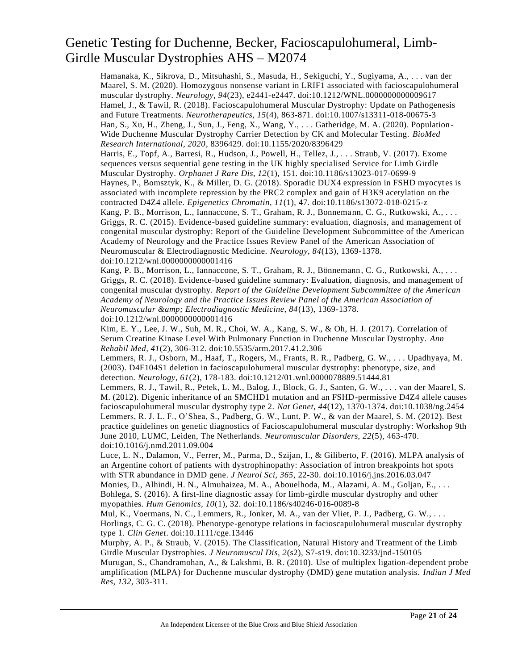Hamanaka, K., Sikrova, D., Mitsuhashi, S., Masuda, H., Sekiguchi, Y., Sugiyama, A., . . . van der Maarel, S. M. (2020). Homozygous nonsense variant in LRIF1 associated with facioscapulohumeral muscular dystrophy. *Neurology, 94*(23), e2441-e2447. doi:10.1212/WNL.0000000000009617 Hamel, J., & Tawil, R. (2018). Facioscapulohumeral Muscular Dystrophy: Update on Pathogenesis and Future Treatments. *Neurotherapeutics, 15*(4), 863-871. doi:10.1007/s13311-018-00675-3 Han, S., Xu, H., Zheng, J., Sun, J., Feng, X., Wang, Y., . . . Gatheridge, M. A. (2020). Population - Wide Duchenne Muscular Dystrophy Carrier Detection by CK and Molecular Testing. *BioMed Research International, 2020*, 8396429. doi:10.1155/2020/8396429

Harris, E., Topf, A., Barresi, R., Hudson, J., Powell, H., Tellez, J., . . . Straub, V. (2017). Exome sequences versus sequential gene testing in the UK highly specialised Service for Limb Girdle Muscular Dystrophy. *Orphanet J Rare Dis, 12*(1), 151. doi:10.1186/s13023-017-0699-9 Haynes, P., Bomsztyk, K., & Miller, D. G. (2018). Sporadic DUX4 expression in FSHD myocytes is associated with incomplete repression by the PRC2 complex and gain of H3K9 acetylation on the contracted D4Z4 allele. *Epigenetics Chromatin, 11*(1), 47. doi:10.1186/s13072-018-0215-z Kang, P. B., Morrison, L., Iannaccone, S. T., Graham, R. J., Bonnemann, C. G., Rutkowski, A., . . . Griggs, R. C. (2015). Evidence-based guideline summary: evaluation, diagnosis, and management of congenital muscular dystrophy: Report of the Guideline Development Subcommittee of the American Academy of Neurology and the Practice Issues Review Panel of the American Association of

Neuromuscular & Electrodiagnostic Medicine. *Neurology, 84*(13), 1369-1378. doi:10.1212/wnl.0000000000001416

Kang, P. B., Morrison, L., Iannaccone, S. T., Graham, R. J., Bönnemann, C. G., Rutkowski, A., . . . Griggs, R. C. (2018). Evidence-based guideline summary: Evaluation, diagnosis, and management of congenital muscular dystrophy. *Report of the Guideline Development Subcommittee of the American Academy of Neurology and the Practice Issues Review Panel of the American Association of Neuromuscular & Electrodiagnostic Medicine, 84*(13), 1369-1378. doi:10.1212/wnl.0000000000001416

Kim, E. Y., Lee, J. W., Suh, M. R., Choi, W. A., Kang, S. W., & Oh, H. J. (2017). Correlation of Serum Creatine Kinase Level With Pulmonary Function in Duchenne Muscular Dystrophy. *Ann Rehabil Med, 41*(2), 306-312. doi:10.5535/arm.2017.41.2.306

Lemmers, R. J., Osborn, M., Haaf, T., Rogers, M., Frants, R. R., Padberg, G. W., . . . Upadhyaya, M. (2003). D4F104S1 deletion in facioscapulohumeral muscular dystrophy: phenotype, size, and detection. *Neurology, 61*(2), 178-183. doi:10.1212/01.wnl.0000078889.51444.81

Lemmers, R. J., Tawil, R., Petek, L. M., Balog, J., Block, G. J., Santen, G. W., ... van der Maare l, S. M. (2012). Digenic inheritance of an SMCHD1 mutation and an FSHD-permissive D4Z4 allele causes facioscapulohumeral muscular dystrophy type 2. *Nat Genet, 44*(12), 1370-1374. doi:10.1038/ng.2454 Lemmers, R. J. L. F., O'Shea, S., Padberg, G. W., Lunt, P. W., & van der Maarel, S. M. (2012). Best practice guidelines on genetic diagnostics of Facioscapulohumeral muscular dystrophy: Workshop 9th June 2010, LUMC, Leiden, The Netherlands. *Neuromuscular Disorders, 22*(5), 463-470. doi:10.1016/j.nmd.2011.09.004

Luce, L. N., Dalamon, V., Ferrer, M., Parma, D., Szijan, I., & Giliberto, F. (2016). MLPA analysis of an Argentine cohort of patients with dystrophinopathy: Association of intron breakpoints hot spots with STR abundance in DMD gene. *J Neurol Sci, 365*, 22-30. doi:10.1016/j.jns.2016.03.047 Monies, D., Alhindi, H. N., Almuhaizea, M. A., Abouelhoda, M., Alazami, A. M., Goljan, E., . . .

Bohlega, S. (2016). A first-line diagnostic assay for limb-girdle muscular dystrophy and other myopathies. *Hum Genomics, 10*(1), 32. doi:10.1186/s40246-016-0089-8

Mul, K., Voermans, N. C., Lemmers, R., Jonker, M. A., van der Vliet, P. J., Padberg, G. W., . . . Horlings, C. G. C. (2018). Phenotype-genotype relations in facioscapulohumeral muscular dystrophy type 1. *Clin Genet*. doi:10.1111/cge.13446

Murphy, A. P., & Straub, V. (2015). The Classification, Natural History and Treatment of the Limb Girdle Muscular Dystrophies. *J Neuromuscul Dis, 2*(s2), S7-s19. doi:10.3233/jnd-150105 Murugan, S., Chandramohan, A., & Lakshmi, B. R. (2010). Use of multiplex ligation-dependent probe amplification (MLPA) for Duchenne muscular dystrophy (DMD) gene mutation analysis. *Indian J Med Res, 132*, 303-311.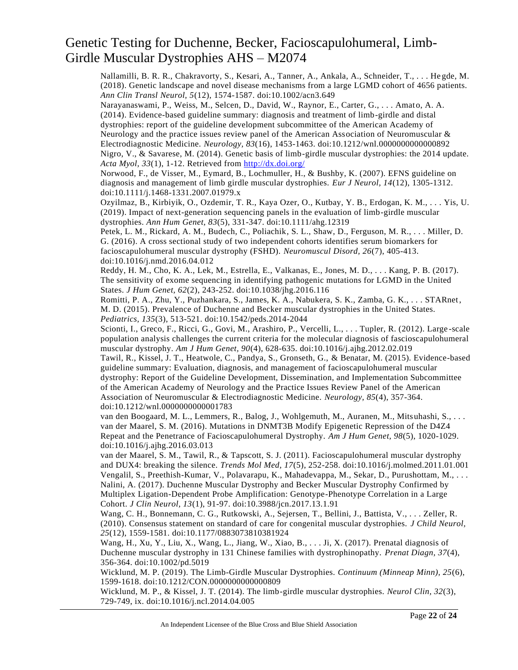Nallamilli, B. R. R., Chakravorty, S., Kesari, A., Tanner, A., Ankala, A., Schneider, T., . . . He gde, M. (2018). Genetic landscape and novel disease mechanisms from a large LGMD cohort of 4656 patients. *Ann Clin Transl Neurol, 5*(12), 1574-1587. doi:10.1002/acn3.649

Narayanaswami, P., Weiss, M., Selcen, D., David, W., Raynor, E., Carter, G., . . . Amato, A. A. (2014). Evidence-based guideline summary: diagnosis and treatment of limb-girdle and distal dystrophies: report of the guideline development subcommittee of the American Academy of Neurology and the practice issues review panel of the American Association of Neuromuscular  $\&$ Electrodiagnostic Medicine. *Neurology, 83*(16), 1453-1463. doi:10.1212/wnl.0000000000000892 Nigro, V., & Savarese, M. (2014). Genetic basis of limb-girdle muscular dystrophies: the 2014 update. *Acta Myol, 33*(1), 1-12. Retrieved from<http://dx.doi.org/>

Norwood, F., de Visser, M., Eymard, B., Lochmuller, H., & Bushby, K. (2007). EFNS guideline on diagnosis and management of limb girdle muscular dystrophies. *Eur J Neurol, 14*(12), 1305-1312. doi:10.1111/j.1468-1331.2007.01979.x

Ozyilmaz, B., Kirbiyik, O., Ozdemir, T. R., Kaya Ozer, O., Kutbay, Y. B., Erdogan, K. M., . . . Yis, U. (2019). Impact of next-generation sequencing panels in the evaluation of limb-girdle muscular dystrophies. *Ann Hum Genet, 83*(5), 331-347. doi:10.1111/ahg.12319

Petek, L. M., Rickard, A. M., Budech, C., Poliachik, S. L., Shaw, D., Ferguson, M. R., . . . Miller, D. G. (2016). A cross sectional study of two independent cohorts identifies serum biomarkers for facioscapulohumeral muscular dystrophy (FSHD). *Neuromuscul Disord, 26*(7), 405-413. doi:10.1016/j.nmd.2016.04.012

Reddy, H. M., Cho, K. A., Lek, M., Estrella, E., Valkanas, E., Jones, M. D., . . . Kang, P. B. (2017). The sensitivity of exome sequencing in identifying pathogenic mutations for LGMD in the United States. *J Hum Genet, 62*(2), 243-252. doi:10.1038/jhg.2016.116

Romitti, P. A., Zhu, Y., Puzhankara, S., James, K. A., Nabukera, S. K., Zamba, G. K., . . . STARnet, M. D. (2015). Prevalence of Duchenne and Becker muscular dystrophies in the United States. *Pediatrics, 135*(3), 513-521. doi:10.1542/peds.2014-2044

Scionti, I., Greco, F., Ricci, G., Govi, M., Arashiro, P., Vercelli, L., . . . Tupler, R. (2012). Large-scale population analysis challenges the current criteria for the molecular diagnosis of fascioscapulohumeral muscular dystrophy. *Am J Hum Genet, 90*(4), 628-635. doi:10.1016/j.ajhg.2012.02.019

Tawil, R., Kissel, J. T., Heatwole, C., Pandya, S., Gronseth, G., & Benatar, M. (2015). Evidence-based guideline summary: Evaluation, diagnosis, and management of facioscapulohumeral muscular dystrophy: Report of the Guideline Development, Dissemination, and Implementation Subcommittee of the American Academy of Neurology and the Practice Issues Review Panel of the American Association of Neuromuscular & Electrodiagnostic Medicine. *Neurology, 85*(4), 357-364. doi:10.1212/wnl.0000000000001783

van den Boogaard, M. L., Lemmers, R., Balog, J., Wohlgemuth, M., Auranen, M., Mitsuhashi, S., . . . van der Maarel, S. M. (2016). Mutations in DNMT3B Modify Epigenetic Repression of the D4Z4 Repeat and the Penetrance of Facioscapulohumeral Dystrophy. *Am J Hum Genet, 98*(5), 1020-1029. doi:10.1016/j.ajhg.2016.03.013

van der Maarel, S. M., Tawil, R., & Tapscott, S. J. (2011). Facioscapulohumeral muscular dystrophy and DUX4: breaking the silence. *Trends Mol Med, 17*(5), 252-258. doi:10.1016/j.molmed.2011.01.001 Vengalil, S., Preethish-Kumar, V., Polavarapu, K., Mahadevappa, M., Sekar, D., Purushottam, M., . . . Nalini, A. (2017). Duchenne Muscular Dystrophy and Becker Muscular Dystrophy Confirmed by Multiplex Ligation-Dependent Probe Amplification: Genotype-Phenotype Correlation in a Large Cohort. *J Clin Neurol, 13*(1), 91-97. doi:10.3988/jcn.2017.13.1.91

Wang, C. H., Bonnemann, C. G., Rutkowski, A., Sejersen, T., Bellini, J., Battista, V., . . . Zeller, R. (2010). Consensus statement on standard of care for congenital muscular dystrophies. *J Child Neurol, 25*(12), 1559-1581. doi:10.1177/0883073810381924

Wang, H., Xu, Y., Liu, X., Wang, L., Jiang, W., Xiao, B., . . . Ji, X. (2017). Prenatal diagnosis of Duchenne muscular dystrophy in 131 Chinese families with dystrophinopathy. *Prenat Diagn, 37*(4), 356-364. doi:10.1002/pd.5019

Wicklund, M. P. (2019). The Limb-Girdle Muscular Dystrophies. *Continuum (Minneap Minn), 25*(6), 1599-1618. doi:10.1212/CON.0000000000000809

Wicklund, M. P., & Kissel, J. T. (2014). The limb-girdle muscular dystrophies. *Neurol Clin, 32*(3), 729-749, ix. doi:10.1016/j.ncl.2014.04.005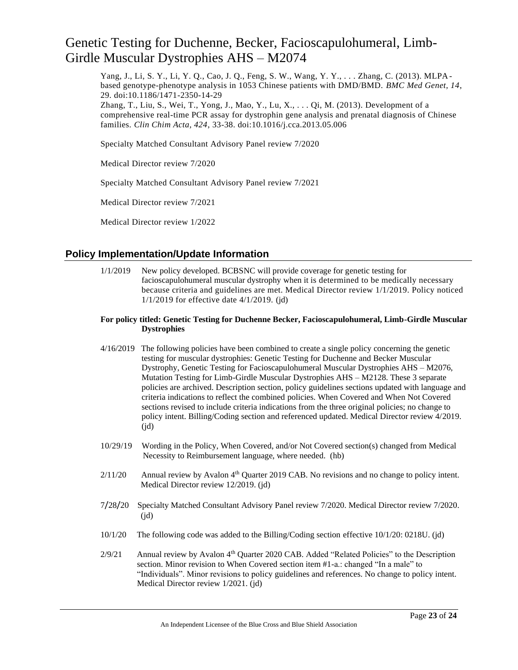Yang, J., Li, S. Y., Li, Y. Q., Cao, J. Q., Feng, S. W., Wang, Y. Y., . . . Zhang, C. (2013). MLPAbased genotype-phenotype analysis in 1053 Chinese patients with DMD/BMD. *BMC Med Genet, 14*, 29. doi:10.1186/1471-2350-14-29

Zhang, T., Liu, S., Wei, T., Yong, J., Mao, Y., Lu, X., . . . Qi, M. (2013). Development of a comprehensive real-time PCR assay for dystrophin gene analysis and prenatal diagnosis of Chinese families. *Clin Chim Acta, 424*, 33-38. doi:10.1016/j.cca.2013.05.006

Specialty Matched Consultant Advisory Panel review 7/2020

Medical Director review 7/2020

Specialty Matched Consultant Advisory Panel review 7/2021

Medical Director review 7/2021

Medical Director review 1/2022

### **Policy Implementation/Update Information**

1/1/2019 New policy developed. BCBSNC will provide coverage for genetic testing for facioscapulohumeral muscular dystrophy when it is determined to be medically necessary because criteria and guidelines are met. Medical Director review 1/1/2019. Policy noticed 1/1/2019 for effective date 4/1/2019. (jd)

#### **For policy titled: Genetic Testing for Duchenne Becker, Facioscapulohumeral, Limb-Girdle Muscular Dystrophies**

- 4/16/2019 The following policies have been combined to create a single policy concerning the genetic testing for muscular dystrophies: Genetic Testing for Duchenne and Becker Muscular Dystrophy, Genetic Testing for Facioscapulohumeral Muscular Dystrophies AHS – M2076, Mutation Testing for Limb-Girdle Muscular Dystrophies AHS – M2128. These 3 separate policies are archived. Description section, policy guidelines sections updated with language and criteria indications to reflect the combined policies. When Covered and When Not Covered sections revised to include criteria indications from the three original policies; no change to policy intent. Billing/Coding section and referenced updated. Medical Director review 4/2019.  $(id)$
- 10/29/19 Wording in the Policy, When Covered, and/or Not Covered section(s) changed from Medical Necessity to Reimbursement language, where needed. (hb)
- 2/11/20 Annual review by Avalon 4<sup>th</sup> Quarter 2019 CAB. No revisions and no change to policy intent. Medical Director review 12/2019. (jd)
- 7/28/20 Specialty Matched Consultant Advisory Panel review 7/2020. Medical Director review 7/2020.  $(id)$
- 10/1/20 The following code was added to the Billing/Coding section effective 10/1/20: 0218U. (jd)
- 2/9/21 Annual review by Avalon 4<sup>th</sup> Quarter 2020 CAB. Added "Related Policies" to the Description section. Minor revision to When Covered section item #1-a.: changed "In a male" to "Individuals". Minor revisions to policy guidelines and references. No change to policy intent. Medical Director review 1/2021. (jd)